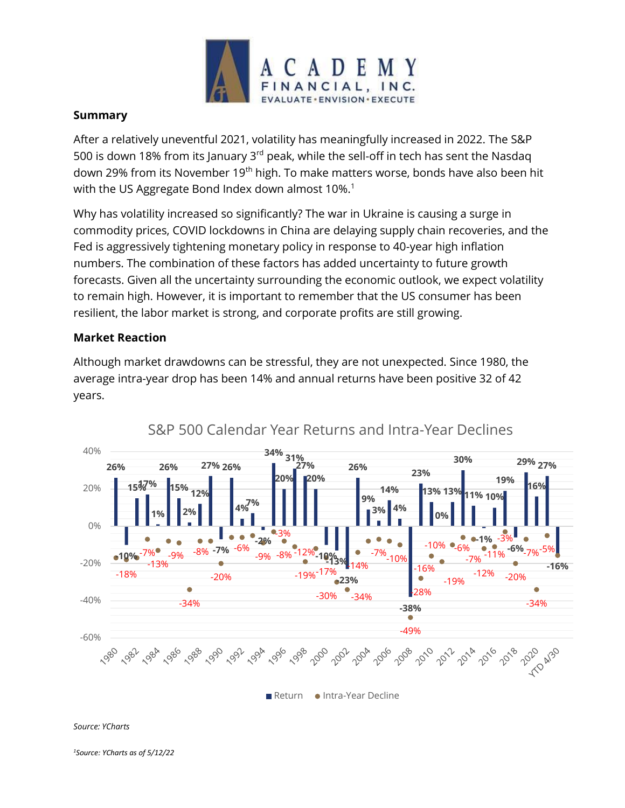

## **Summary**

After a relatively uneventful 2021, volatility has meaningfully increased in 2022. The S&P 500 is down 18% from its January 3rd peak, while the sell-off in tech has sent the Nasdaq down 29% from its November 19<sup>th</sup> high. To make matters worse, bonds have also been hit with the US Aggregate Bond Index down almost 10%.<sup>1</sup>

Why has volatility increased so significantly? The war in Ukraine is causing a surge in commodity prices, COVID lockdowns in China are delaying supply chain recoveries, and the Fed is aggressively tightening monetary policy in response to 40-year high inflation numbers. The combination of these factors has added uncertainty to future growth forecasts. Given all the uncertainty surrounding the economic outlook, we expect volatility to remain high. However, it is important to remember that the US consumer has been resilient, the labor market is strong, and corporate profits are still growing.

## **Market Reaction**

Although market drawdowns can be stressful, they are not unexpected. Since 1980, the average intra-year drop has been 14% and annual returns have been positive 32 of 42 years.



## S&P 500 Calendar Year Returns and Intra-Year Declines

*Source: YCharts*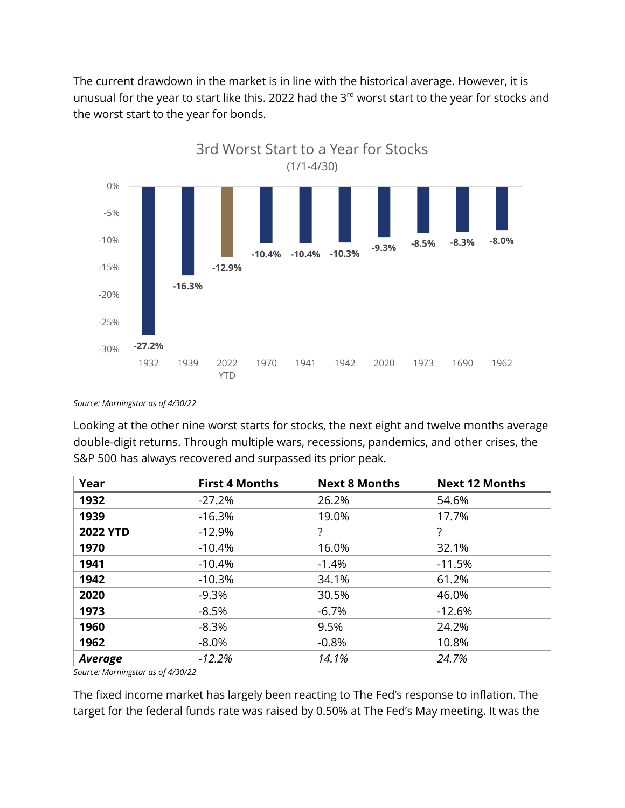The current drawdown in the market is in line with the historical average. However, it is unusual for the year to start like this. 2022 had the 3<sup>rd</sup> worst start to the year for stocks and the worst start to the year for bonds.



*Source: Morningstar as of 4/30/22*

Looking at the other nine worst starts for stocks, the next eight and twelve months average double-digit returns. Through multiple wars, recessions, pandemics, and other crises, the S&P 500 has always recovered and surpassed its prior peak.

| Year            | <b>First 4 Months</b> | <b>Next 8 Months</b> | <b>Next 12 Months</b> |
|-----------------|-----------------------|----------------------|-----------------------|
| 1932            | $-27.2%$              | 26.2%                | 54.6%                 |
| 1939            | $-16.3%$              | 19.0%                | 17.7%                 |
| <b>2022 YTD</b> | $-12.9%$              | ?                    | ?                     |
| 1970            | $-10.4%$              | 16.0%                | 32.1%                 |
| 1941            | $-10.4%$              | $-1.4%$              | $-11.5%$              |
| 1942            | $-10.3%$              | 34.1%                | 61.2%                 |
| 2020            | $-9.3%$               | 30.5%                | 46.0%                 |
| 1973            | $-8.5%$               | $-6.7%$              | $-12.6%$              |
| 1960            | $-8.3%$               | 9.5%                 | 24.2%                 |
| 1962            | $-8.0\%$              | $-0.8%$              | 10.8%                 |
| Average         | $-12.2%$              | 14.1%                | 24.7%                 |

*Source: Morningstar as of 4/30/22*

The fixed income market has largely been reacting to The Fed's response to inflation. The target for the federal funds rate was raised by 0.50% at The Fed's May meeting. It was the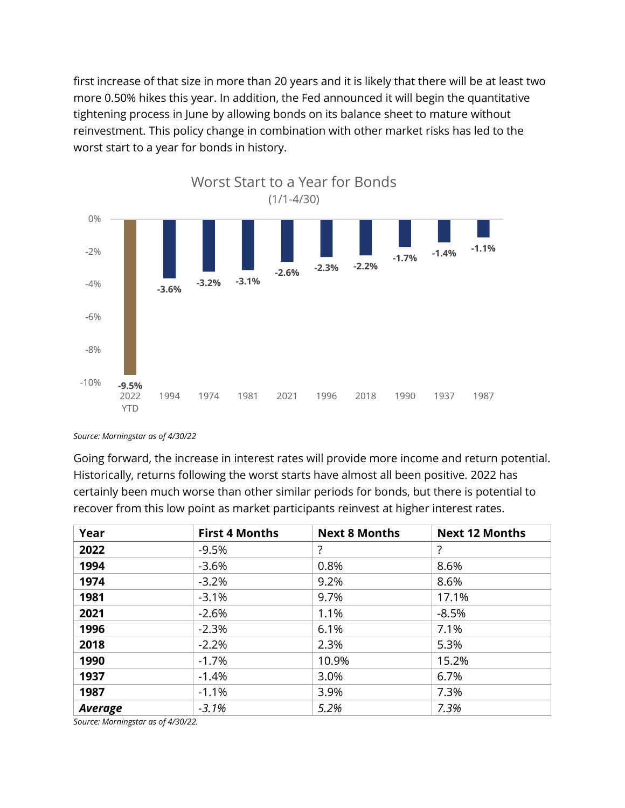first increase of that size in more than 20 years and it is likely that there will be at least two more 0.50% hikes this year. In addition, the Fed announced it will begin the quantitative tightening process in June by allowing bonds on its balance sheet to mature without reinvestment. This policy change in combination with other market risks has led to the worst start to a year for bonds in history.



*Source: Morningstar as of 4/30/22*

Going forward, the increase in interest rates will provide more income and return potential. Historically, returns following the worst starts have almost all been positive. 2022 has certainly been much worse than other similar periods for bonds, but there is potential to recover from this low point as market participants reinvest at higher interest rates.

| Year           | <b>First 4 Months</b> | <b>Next 8 Months</b> | <b>Next 12 Months</b> |
|----------------|-----------------------|----------------------|-----------------------|
| 2022           | $-9.5%$               | ?                    | ?                     |
| 1994           | $-3.6%$               | 0.8%                 | 8.6%                  |
| 1974           | $-3.2%$               | 9.2%                 | 8.6%                  |
| 1981           | $-3.1%$               | 9.7%                 | 17.1%                 |
| 2021           | $-2.6%$               | 1.1%                 | $-8.5%$               |
| 1996           | $-2.3%$               | 6.1%                 | 7.1%                  |
| 2018           | $-2.2%$               | 2.3%                 | 5.3%                  |
| 1990           | $-1.7%$               | 10.9%                | 15.2%                 |
| 1937           | $-1.4%$               | 3.0%                 | 6.7%                  |
| 1987           | $-1.1%$               | 3.9%                 | 7.3%                  |
| <b>Average</b> | $-3.1%$               | 5.2%                 | 7.3%                  |

*Source: Morningstar as of 4/30/22.*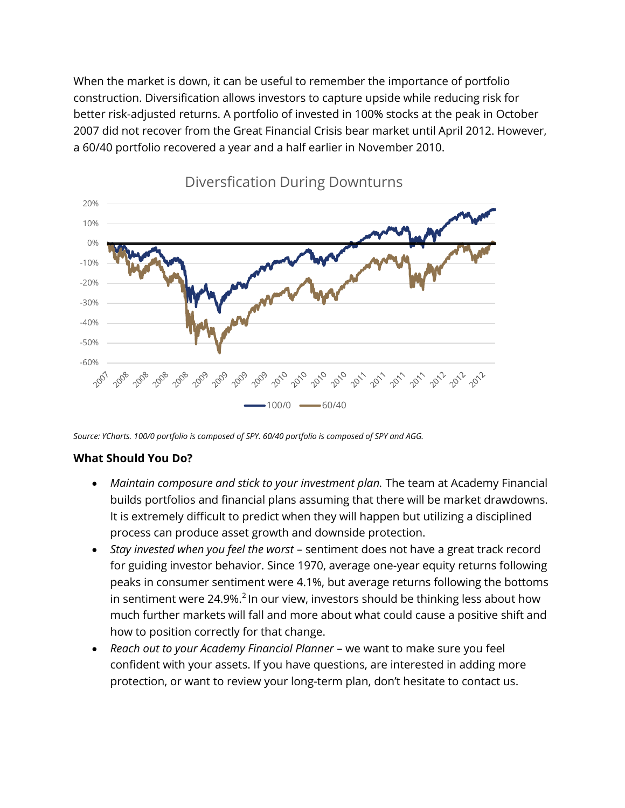When the market is down, it can be useful to remember the importance of portfolio construction. Diversification allows investors to capture upside while reducing risk for better risk-adjusted returns. A portfolio of invested in 100% stocks at the peak in October 2007 did not recover from the Great Financial Crisis bear market until April 2012. However, a 60/40 portfolio recovered a year and a half earlier in November 2010.



Diversfication During Downturns

*Source: YCharts. 100/0 portfolio is composed of SPY. 60/40 portfolio is composed of SPY and AGG.*

## **What Should You Do?**

- *Maintain composure and stick to your investment plan.* The team at Academy Financial builds portfolios and financial plans assuming that there will be market drawdowns. It is extremely difficult to predict when they will happen but utilizing a disciplined process can produce asset growth and downside protection.
- *Stay invested when you feel the worst* sentiment does not have a great track record for guiding investor behavior. Since 1970, average one-year equity returns following peaks in consumer sentiment were 4.1%, but average returns following the bottoms in sentiment were 24.9%.<sup>2</sup> In our view, investors should be thinking less about how much further markets will fall and more about what could cause a positive shift and how to position correctly for that change.
- *Reach out to your Academy Financial Planner* we want to make sure you feel confident with your assets. If you have questions, are interested in adding more protection, or want to review your long-term plan, don't hesitate to contact us.